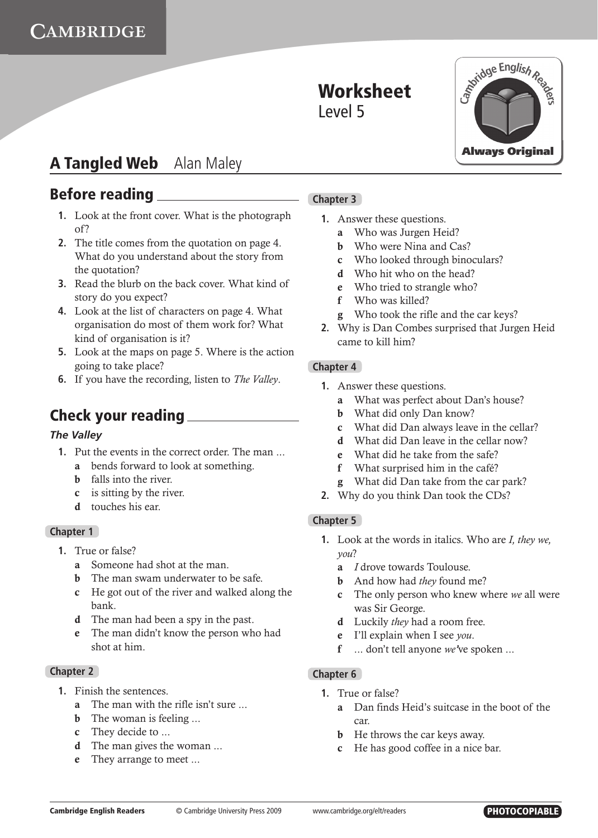# **A Tangled Web** Alan Maley

### **Before reading**

- **1.** Look at the front cover. What is the photograph of?
- **2.** The title comes from the quotation on page 4. What do you understand about the story from the quotation?
- **3.** Read the blurb on the back cover. What kind of story do you expect?
- **4.** Look at the list of characters on page 4. What organisation do most of them work for? What kind of organisation is it?
- **5.** Look at the maps on page 5. Where is the action going to take place?
- **6.** If you have the recording, listen to *The Valley*.

### **Check your reading**

### *The Valley*

- **1.** Put the events in the correct order. The man ...
	- a bends forward to look at something.
	- **b** falls into the river.
	- c is sitting by the river.
	- d touches his ear.

### **Chapter 1**

- **1.** True or false?
	- a Someone had shot at the man.
	- **b** The man swam underwater to be safe.
	- c He got out of the river and walked along the bank.
	- d The man had been a spy in the past.
	- e The man didn't know the person who had shot at him.

### **Chapter 2**

- **1.** Finish the sentences.
	- a The man with the rifle isn't sure ...
	- **b** The woman is feeling ...
	- c They decide to ...
	- d The man gives the woman ...
	- e They arrange to meet ...

### **Chapter 3**

- **1.** Answer these questions.
	- a Who was Jurgen Heid?
	- **b** Who were Nina and Cas?
	- c Who looked through binoculars?
	- d Who hit who on the head?
	- e Who tried to strangle who?
	- f Who was killed?
	- g Who took the rifle and the car keys?
- **2.** Why is Dan Combes surprised that Jurgen Heid came to kill him?

### **Chapter 4**

- **1.** Answer these questions.
	- a What was perfect about Dan's house?
	- b What did only Dan know?
	- c What did Dan always leave in the cellar?
	- d What did Dan leave in the cellar now?
	- e What did he take from the safe?
	- f What surprised him in the café?
	- g What did Dan take from the car park?
- **2.** Why do you think Dan took the CDs?

### **Chapter 5**

- **1.** Look at the words in italics. Who are *I, they we, you*?
	- a *I* drove towards Toulouse.
	- b And how had *they* found me?
	- c The only person who knew where *we* all were was Sir George.
	- d Luckily *they* had a room free.
	- e I'll explain when I see *you*.
	- f ... don't tell anyone *we'*ve spoken ...

### **Chapter 6**

- **1.** True or false?
	- a Dan finds Heid's suitcase in the boot of the car.
	- **b** He throws the car keys away.
	- c He has good coffee in a nice bar.

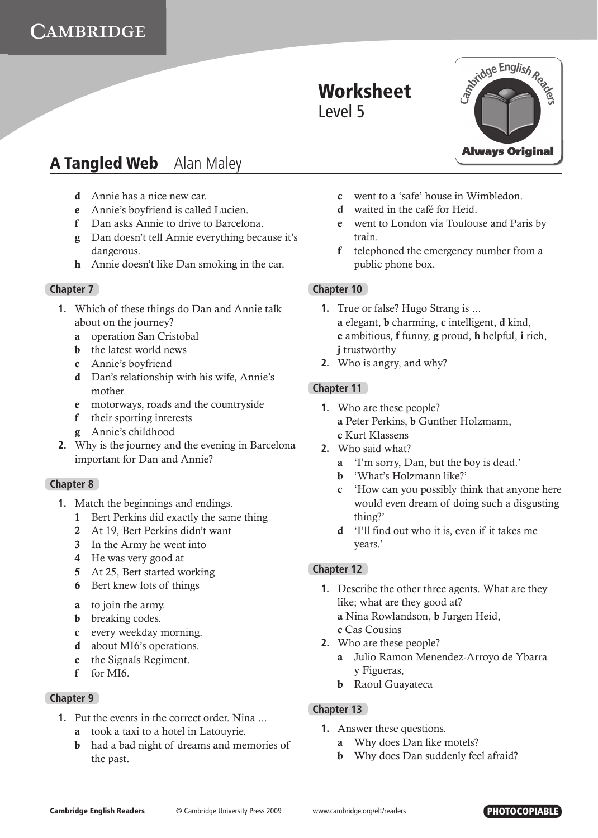

- d Annie has a nice new car.
- e Annie's boyfriend is called Lucien.
- f Dan asks Annie to drive to Barcelona.
- g Dan doesn't tell Annie everything because it's dangerous.
- h Annie doesn't like Dan smoking in the car.

### **Chapter 7**

- **1.** Which of these things do Dan and Annie talk about on the journey?
	- a operation San Cristobal
	- b the latest world news
	- c Annie's boyfriend
	- d Dan's relationship with his wife, Annie's mother
	- e motorways, roads and the countryside
	- f their sporting interests
	- g Annie's childhood
- **2.** Why is the journey and the evening in Barcelona important for Dan and Annie?

#### **Chapter 8**

- **1.** Match the beginnings and endings.
	- 1 Bert Perkins did exactly the same thing
	- 2 At 19, Bert Perkins didn't want
	- 3 In the Army he went into
	- 4 He was very good at
	- 5 At 25, Bert started working
	- 6 Bert knew lots of things
	- a to join the army.
	- **b** breaking codes.
	- c every weekday morning.
	- d about MI6's operations.
	- e the Signals Regiment.
	- f for MI6.

### **Chapter 9**

- **1.** Put the events in the correct order. Nina ...
	- a took a taxi to a hotel in Latouyrie.
	- b had a bad night of dreams and memories of the past.
- c went to a 'safe' house in Wimbledon.
- d waited in the café for Heid.
- e went to London via Toulouse and Paris by train.
- f telephoned the emergency number from a public phone box.

### **Chapter 10**

- **1.** True or false? Hugo Strang is ... a elegant, b charming, c intelligent, d kind, e ambitious, f funny, g proud, h helpful, i rich, i trustworthy
- **2.** Who is angry, and why?

### **Chapter 11**

- **1.** Who are these people? a Peter Perkins, b Gunther Holzmann, c Kurt Klassens
- **2.** Who said what?
	- a 'I'm sorry, Dan, but the boy is dead.'
	- b 'What's Holzmann like?'
	- c 'How can you possibly think that anyone here would even dream of doing such a disgusting thing?'
	- d 'I'll find out who it is, even if it takes me years.'

### **Chapter 12**

- **1.** Describe the other three agents. What are they like; what are they good at? a Nina Rowlandson, b Jurgen Heid, c Cas Cousins
- **2.** Who are these people?
	- a Julio Ramon Menendez-Arroyo de Ybarra y Figueras,
	- **b** Raoul Guayateca

### **Chapter 13**

- **1.** Answer these questions.
	- a Why does Dan like motels?
	- **b** Why does Dan suddenly feel afraid?

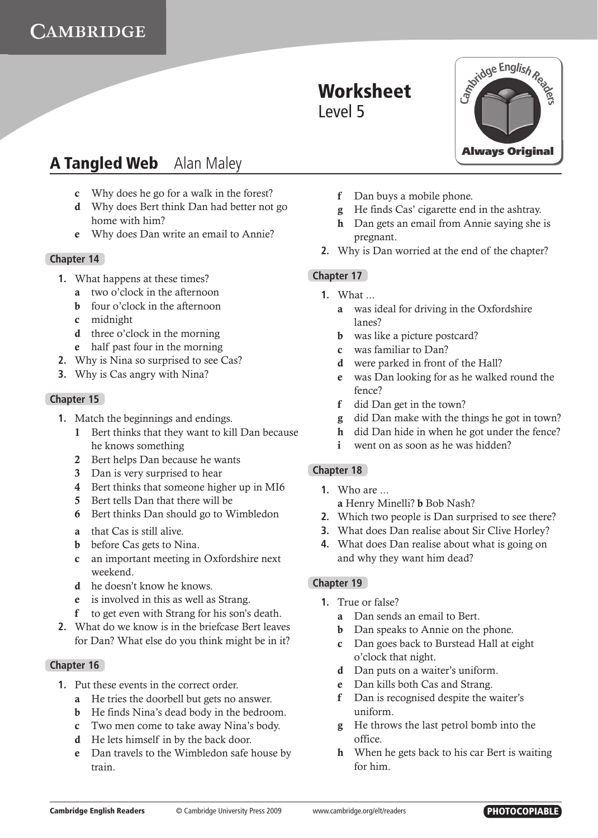# **A Tangled Web** Alan Maley

- c Why does he go for a walk in the forest?
- d Why does Bert think Dan had better not go home with him?
- e Why does Dan write an email to Annie?

### **Chapter 14**

- **1.** What happens at these times?
	- a two o'clock in the afternoon
	- b four o'clock in the afternoon
	- c midnight
	- d three o'clock in the morning
	- e half past four in the morning
- **2.** Why is Nina so surprised to see Cas?
- **3.** Why is Cas angry with Nina?

### **Chapter 15**

- **1.** Match the beginnings and endings.
	- 1 Bert thinks that they want to kill Dan because he knows something
	- 2 Bert helps Dan because he wants
	- 3 Dan is very surprised to hear
	- 4 Bert thinks that someone higher up in MI6
	- 5 Bert tells Dan that there will be
	- 6 Bert thinks Dan should go to Wimbledon
	- a that Cas is still alive.
	- **b** before Cas gets to Nina.
	- c an important meeting in Oxfordshire next weekend.
	- d he doesn't know he knows.
	- e is involved in this as well as Strang.
	- f to get even with Strang for his son's death.
- **2.** What do we know is in the briefcase Bert leaves for Dan? What else do you think might be in it?

### **Chapter 16**

- **1.** Put these events in the correct order.
	- a He tries the doorbell but gets no answer.
	- b He finds Nina's dead body in the bedroom.
	- c Two men come to take away Nina's body.
	- d He lets himself in by the back door.
	- e Dan travels to the Wimbledon safe house by train.
- f Dan buys a mobile phone.
- g He finds Cas' cigarette end in the ashtray.
- h Dan gets an email from Annie saying she is pregnant.
- **2.** Why is Dan worried at the end of the chapter?

### **Chapter 17**

- **1** What
	- a was ideal for driving in the Oxfordshire lanes?
	- **b** was like a picture postcard?
	- c was familiar to Dan?
	- d were parked in front of the Hall?
	- e was Dan looking for as he walked round the fence?
	- f did Dan get in the town?
	- g did Dan make with the things he got in town?
	- h did Dan hide in when he got under the fence?
	- i went on as soon as he was hidden?

### **Chapter 18**

- **1.** Who are ...
	- a Henry Minelli? b Bob Nash?
- **2.** Which two people is Dan surprised to see there?
- **3.** What does Dan realise about Sir Clive Horley?
- **4.** What does Dan realise about what is going on and why they want him dead?

### **Chapter 19**

- **1.** True or false?
	- a Dan sends an email to Bert.
	- **b** Dan speaks to Annie on the phone.
	- c Dan goes back to Burstead Hall at eight o'clock that night.
	- d Dan puts on a waiter's uniform.
	- e Dan kills both Cas and Strang.
	- f Dan is recognised despite the waiter's uniform.
	- g He throws the last petrol bomb into the office.
	- h When he gets back to his car Bert is waiting for him.